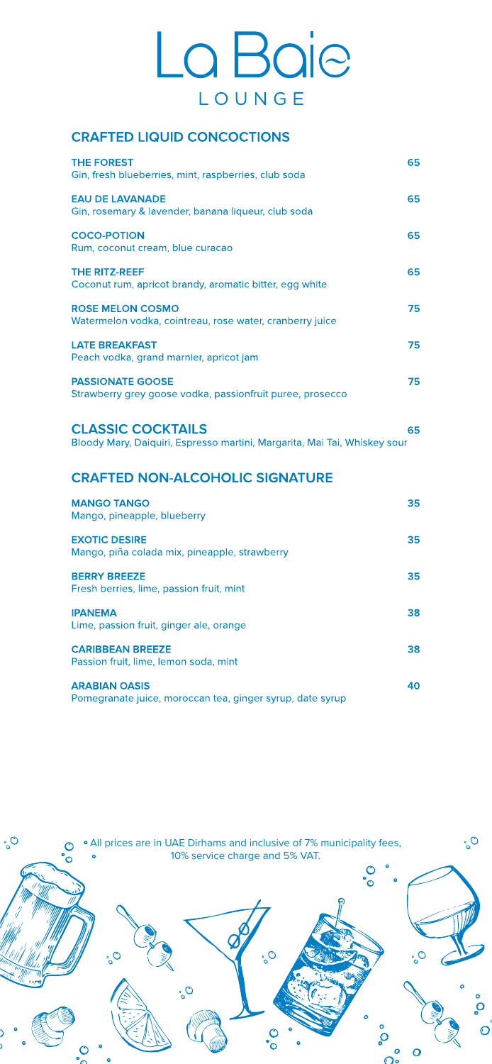# La Baie LOUNGE

## **CRAFTED LIQUID CONCOCTIONS**



Bloody Mary, Daiquiri, Espresso martini, Margarita, Mai Tai, Whiskey sour

| <b>THE FOREST</b>                                                                    | 65 |
|--------------------------------------------------------------------------------------|----|
| Gin, fresh blueberries, mint, raspberries, club soda                                 |    |
| <b>EAU DE LAVANADE</b><br>Gin, rosemary & lavender, banana liqueur, club soda        | 65 |
| <b>COCO-POTION</b><br>Rum, coconut cream, blue curacao                               | 65 |
| <b>THE RITZ-REEF</b><br>Coconut rum, apricot brandy, aromatic bitter, egg white      | 65 |
| <b>ROSE MELON COSMO</b><br>Watermelon vodka, cointreau, rose water, cranberry juice  | 75 |
| <b>LATE BREAKFAST</b><br>Peach vodka, grand marnier, apricot jam                     | 75 |
| <b>PASSIONATE GOOSE</b><br>Strawberry grey goose vodka, passionfruit puree, prosecco | 75 |
| <b>CLASSIC COCKTAILS</b>                                                             | 65 |

## **CRAFTED NON-ALCOHOLIC SIGNATURE**

#### **MANGO TANGO**

Mango, pineapple, blueberry

| <b>EXOTIC DESIRE</b><br>Mango, piña colada mix, pineapple, strawberry             | 35 |
|-----------------------------------------------------------------------------------|----|
| <b>BERRY BREEZE</b><br>Fresh berries, lime, passion fruit, mint                   | 35 |
| <b>IPANEMA</b><br>Lime, passion fruit, ginger ale, orange                         | 38 |
| <b>CARIBBEAN BREEZE</b><br>Passion fruit, lime, lemon soda, mint                  | 38 |
| <b>ARABIAN OASIS</b><br>Pomegranate juice, moroccan tea, ginger syrup, date syrup | 40 |